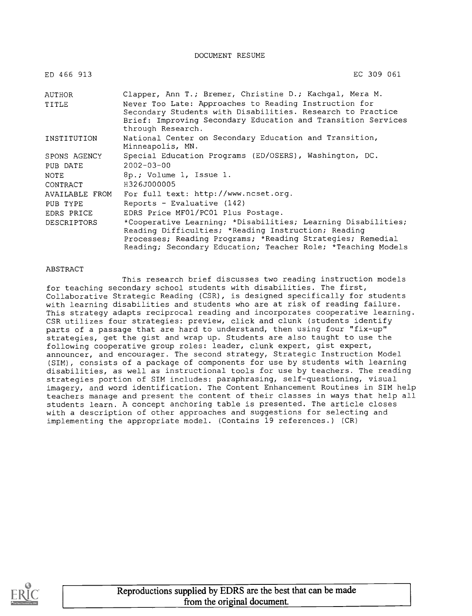#### DOCUMENT RESUME

| ED 466 913         | EC 309 061                                                                                                                                                                                                                                        |  |  |  |  |
|--------------------|---------------------------------------------------------------------------------------------------------------------------------------------------------------------------------------------------------------------------------------------------|--|--|--|--|
| AUTHOR             | Clapper, Ann T.; Bremer, Christine D.; Kachgal, Mera M.                                                                                                                                                                                           |  |  |  |  |
| TITLE              | Never Too Late: Approaches to Reading Instruction for<br>Secondary Students with Disabilities. Research to Practice<br>Brief: Improving Secondary Education and Transition Services<br>through Research.                                          |  |  |  |  |
| INSTITUTION        | National Center on Secondary Education and Transition,<br>Minneapolis, MN.                                                                                                                                                                        |  |  |  |  |
| SPONS AGENCY       | Special Education Programs (ED/OSERS), Washington, DC.                                                                                                                                                                                            |  |  |  |  |
| PUB DATE           | $2002 - 03 - 00$                                                                                                                                                                                                                                  |  |  |  |  |
| NOTE               | 8p.; Volume 1, Issue 1.                                                                                                                                                                                                                           |  |  |  |  |
| CONTRACT           | H326J000005                                                                                                                                                                                                                                       |  |  |  |  |
| AVAILABLE FROM     | For full text: http://www.ncset.org.                                                                                                                                                                                                              |  |  |  |  |
| PUB TYPE           | Reports - Evaluative (142)                                                                                                                                                                                                                        |  |  |  |  |
| EDRS PRICE         | EDRS Price MF01/PC01 Plus Postage.                                                                                                                                                                                                                |  |  |  |  |
| <b>DESCRIPTORS</b> | *Cooperative Learning; *Disabilities; Learning Disabilities;<br>Reading Difficulties; *Reading Instruction; Reading<br>Processes; Reading Programs; *Reading Strategies; Remedial<br>Reading; Secondary Education; Teacher Role; *Teaching Models |  |  |  |  |

#### ABSTRACT

This research brief discusses two reading instruction models for teaching secondary school students with disabilities. The first, Collaborative Strategic Reading (CSR), is designed specifically for students with learning disabilities and students who are at risk of reading failure. This strategy adapts reciprocal reading and incorporates cooperative learning. CSR utilizes four strategies: preview, click and clunk (students identify parts of a passage that are hard to understand, then using four "fix-up" strategies, get the gist and wrap up. Students are also taught to use the following cooperative group roles: leader, clunk expert, gist expert, announcer, and encourager. The second strategy, Strategic Instruction Model (SIM), consists of a package of components for use by students with learning disabilities, as well as instructional tools for use by teachers. The reading strategies portion of SIM includes: paraphrasing, self-questioning, visual imagery, and word identification. The Content Enhancement Routines in SIM help teachers manage and present the content of their classes in ways that help all students learn. A concept anchoring table is presented. The article closes with a description of other approaches and suggestions for selecting and implementing the appropriate model. (Contains 19 references.) (CR)

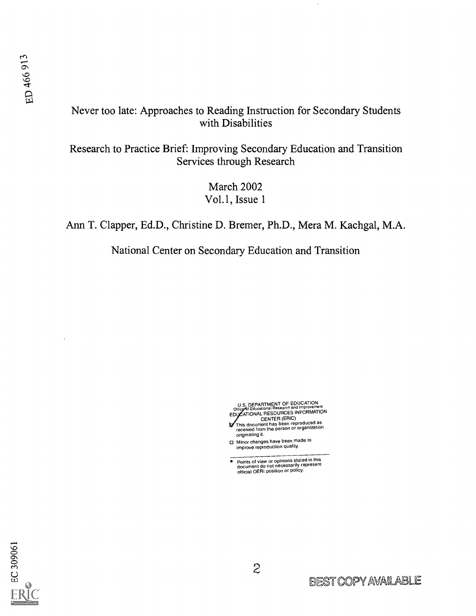#### Never too late: Approaches to Reading Instruction for Secondary Students with Disabilities

Research to Practice Brief: Improving Secondary Education and Transition Services through Research

> March 2002 Vol.1, Issue 1

Ann T. Clapper, Ed.D., Christine D. Bremer, Ph.D., Mera M. Kachgal, M.A.

National Center on Secondary Education and Transition

U.S. DEPARTMENT OF EDUCATION<br>Office of Educational Research and Improvement<br>EDUCATIONAL RESOURCES INFORMATION

- CENTER (ERIC) This document has been reproduced as received from the person or organization originating it.
- Minor changes have been made to improve reproduction quality.
- $\bullet$ Points of view or opinions stated in this document do not necessarily represent official OERI position or policy.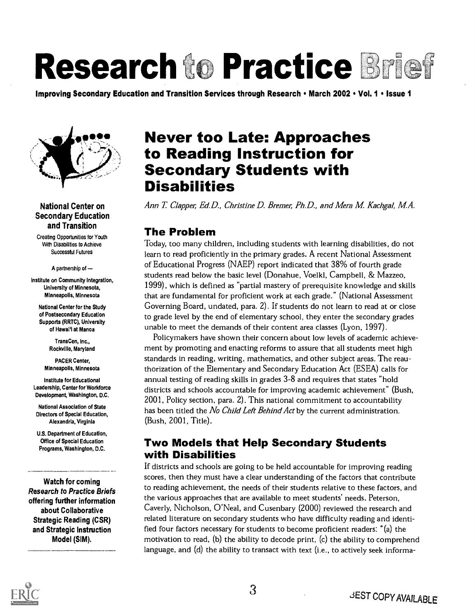# Research to Practice Brief

Improving Secondary Education and Transition Services through Research • March 2002 • Vol. 1 • Issue 1



#### National Center on Secondary Education and Transition

Creating Opportunities for Youth With Disabilities to Achieve Successful Futures

A partnership of

Institute on Community Integration, University of Minnesota, Minneapolis, Minnesota

National Center for the Study of Postsecondary Education Supports (RRTC), University of Hawai'i at Manoa

> TransCen, Inc., Rockville, Maryland

PACER Center, Minneapolis, Minnesota

Institute for Educational Leadership, Center for Workforce Development, Washington, D.C.

National Association of State Directors of Special Education, Alexandria, Virginia

U.S. Department of Education, Office of Special Education Programs, Washington, D.C.

Watch for coming Research to Practice Briefs offering further information about Collaborative Strategic Reading (CSR) and Strategic Instruction Model (SIM).

# Never too Late: Approaches to Reading Instruction for<br>Secondary Students with<br>Disabilities

Ann T. Clapper, Ed.D., Christine D. Bremer, Ph.D., and Mera M. Kachgal, M.A.

#### The Problem

Today, too many children, including students with learning disabilities, do not learn to read proficiently in the primary grades. A recent National Assessment of Educational Progress (NAEP) report indicated that 38% of fourth grade students read below the basic level (Donahue, Voelkl, Campbell, & Mazzeo, 1999), which is defined as "partial mastery of prerequisite knowledge and skills that are fundamental for proficient work at each grade." (National Assessment Governing Board, undated, para. 2). If students do not learn to read at or close to grade level by the end of elementary school, they enter the secondary grades unable to meet the demands of their content area classes (Lyon, 1997).

Policymakers have shown their concern about low levels of academic achievement by promoting and enacting reforms to assure that all students meet high standards in reading, writing, mathematics, and other subject areas. The reauthorization of the Elementary and Secondary Education Act (ESEA) calls for annual testing of reading skills in grades 3-8 and requires that states "hold districts and schools accountable for improving academic achievement" (Bush, 2001, Policy section, para. 2). This national commitment to accountability has been titled the No Child Left Behind Act by the current administration. (Bush, 2001, Title).

## Two Models that Help Secondary Students with Disabilities

If districts and schools are going to be held accountable for improving reading scores, then they must have a clear understanding of the factors that contribute to reading achievement, the needs of their students relative to these factors, and the various approaches that are available to meet students' needs. Peterson, Caverly, Nicholson, O'Neal, and Cusenbary (2000) reviewed the research and related literature on secondary students who have difficulty reading and identified four factors necessary for students to become proficient readers: "(a) the motivation to read, (b) the ability to decode print, (c) the ability to comprehend language, and (d) the ability to transact with text (i.e., to actively seek informa-

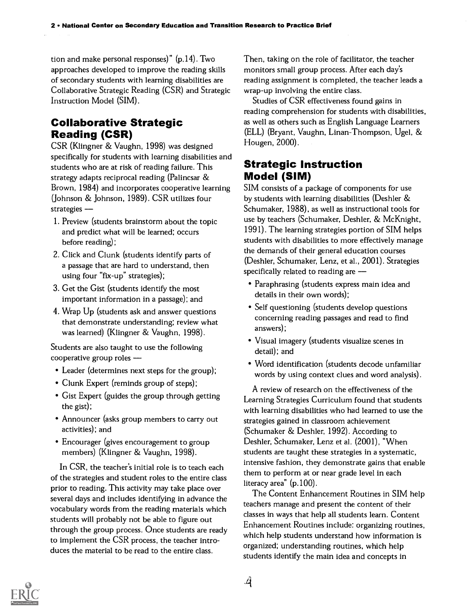tion and make personal responses)"  $(p.14)$ . Two approaches developed to improve the reading skills of secondary students with learning disabilities are Collaborative Strategic Reading (CSR) and Strategic Instruction Model (SIM).

#### Collaborative Strategic Reading (CSR)

CSR (Klingner & Vaughn, 1998) was designed specifically for students with learning disabilities and students who are at risk of reading failure. This strategy adapts reciprocal reading (Palincsar & Brown, 1984) and incorporates cooperative learning (Johnson & Johnson, 1989). CSR utilizes four strategies -

- 1. Preview (students brainstorm about the topic and predict what will be learned; occurs before reading);
- 2. Click and Clunk (students identify parts of a passage that are hard to understand, then using four "fix-up" strategies);
- 3. Get the Gist (students identify the most important information in a passage); and
- 4. Wrap Up (students ask and answer questions that demonstrate understanding; review what was learned) (Klingner & Vaughn, 1998).

Students are also taught to use the following cooperative group roles

- Leader (determines next steps for the group);
- Clunk Expert (reminds group of steps);
- Gist Expert (guides the group through getting the gist);
- Announcer (asks group members to carry out activities); and
- Encourager (gives encouragement to group members) (Klingner & Vaughn, 1998).

In CSR, the teacher's initial role is to teach each of the strategies and student roles to the entire class prior to reading. This activity may take place over several days and includes identifying in advance the vocabulary words from the reading materials which students will probably not be able to figure out through the group process. Once students are ready to implement the CSR process, the teacher introduces the material to be read to the entire class.

Then, taking on the role of facilitator, the teacher monitors small group process. After each day's reading assignment is completed, the teacher leads a wrap-up involving the entire class.

Studies of CSR effectiveness found gains in reading comprehension for students with disabilities, as well as others such as English Language Learners (ELL) (Bryant, Vaughn, Linan-Thompson, Ugel, & Hougen, 2000).

#### Strategic Instruction Model (SIM)

SIM consists of a package of components for use by students with learning disabilities (Deshler & Schumaker, 1988), as well as instructional tools for use by teachers (Schumaker, Deshler, & McKnight, 1991). The learning strategies portion of SIM helps students with disabilities to more effectively manage the demands of their general education courses (Deshler, Schumaker, Lenz, et al., 2001). Strategies specifically related to reading are  $-$ 

- Paraphrasing (students express main idea and details in their own words);
- Self questioning (students develop questions concerning reading passages and read to find answers);
- Visual imagery (students visualize scenes in detail); and
- Word identification (students decode unfamiliar words by using context clues and word analysis).

A review of research on the effectiveness of the Learning Strategies Curriculum found that students with learning disabilities who had learned to use the strategies gained in classroom achievement (Schumaker & Deshler, 1992). According to Deshler, Schumaker, Lenz et al. (2001), "When students are taught these strategies in a systematic, intensive fashion, they demonstrate gains that enable them to perform at or near grade level in each literacy area" (p.100).

The Content Enhancement Routines in SIM help teachers manage and present the content of their classes in ways that help all students learn. Content Enhancement Routines include: organizing routines, which help students understand how information is organized; understanding routines, which help students identify the main idea and concepts in

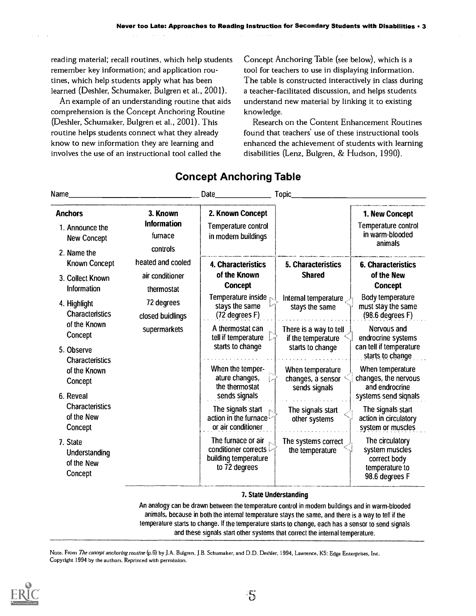reading material; recall routines, which help students remember key information; and application routines, which help students apply what has been learned (Deshler, Schumaker, Bulgren et al., 2001).

An example of an understanding routine that aids comprehension is the Concept Anchoring Routine (Deshler, Schumaker, Bulgren et al., 2001). This routine helps students connect what they already know to new information they are learning and involves the use of an instructional tool called the

Concept Anchoring Table (see below), which is a tool for teachers to use in displaying information. The table is constructed interactively in class during a teacher-facilitated discussion, and helps students understand new material by linking it to existing knowledge.

Research on the Content Enhancement Routines found that teachers' use of these instructional tools enhanced the achievement of students with learning disabilities (Lenz, Bulgren, & Hudson, 1990).

| Name_                                                                  |                                                                                      | Date                                                                                                   | Topic_                                                           |                                                                                       |
|------------------------------------------------------------------------|--------------------------------------------------------------------------------------|--------------------------------------------------------------------------------------------------------|------------------------------------------------------------------|---------------------------------------------------------------------------------------|
| <b>Anchors</b><br>1. Announce the<br><b>New Concept</b><br>2. Name the | 3. Known<br><b>Information</b><br>furnace<br>controls                                | 2. Known Concept<br>Temperature control<br>in modern buildings                                         |                                                                  | 1. New Concept<br>Temperature control<br>in warm-blooded<br>animals                   |
| Known Concept<br>3. Collect Known<br>Information                       | heated and cooled<br>air conditioner<br>thermostat<br>72 degrees<br>closed buidlings | 4. Characteristics<br>of the Known<br><b>Concept</b>                                                   | 5. Characteristics<br><b>Shared</b>                              | <b>6. Characteristics</b><br>of the New<br><b>Concept</b>                             |
| 4. Highlight<br><b>Characteristics</b><br>of the Known                 |                                                                                      | Temperature inside<br>stays the same<br>(72 degrees F)                                                 | Internal temperature<br>stays the same                           | Body temperature<br>must stay the same<br>$(98.6$ degrees $F)$                        |
| Concept<br>5. Observe<br><b>Characteristics</b>                        | supermarkets                                                                         | A thermostat can<br>tell if temperature<br>starts to change                                            | There is a way to tell<br>if the temperature<br>starts to change | Nervous and<br>endrocrine systems<br>can tell if temperature<br>starts to change      |
| of the Known<br>Concept<br>6. Reveal                                   |                                                                                      | When the temper-<br>ature changes,<br>the thermostat<br>sends signals                                  | When temperature<br>changes, a sensor<br>sends signals           | When temperature<br>changes, the nervous<br>and endrocrine<br>systems send signals    |
| <b>Characteristics</b><br>of the New<br>Concept                        |                                                                                      | The signals start<br>action in the furnace<br>or air conditioner                                       | The signals start<br>other systems                               | The signals start<br>action in circulatory<br>system or muscles                       |
| 7. State<br>Understanding<br>of the New<br>Concept                     |                                                                                      | The furnace or air<br>conditioner corrects $\mathcal{\nabla}$<br>building temperature<br>to 72 degrees | The systems correct<br>the temperature                           | The circulatory<br>system muscles<br>correct body<br>temperature to<br>98.6 degrees F |

#### Concept Anchoring Table

#### 7. State Understanding

An analogy can be drawn between the temperature control in modern buildings and in warm-blooded animals, because in both the internal temperature stays the same, and there is a way to tell if the temperature starts to change. if the temperature starts to change, each has a sensor to send signals and these signals start other systems that correct the internal temperature.

Note. From The concept anchoring routine (p.6) by J.A. Bulgren, J.B. Schumaker, and D.D. Deshler, 1994, Lawrence, KS: Edge Enterprises, Inc. Copyright 1994 by the authors. Reprinted with permission.

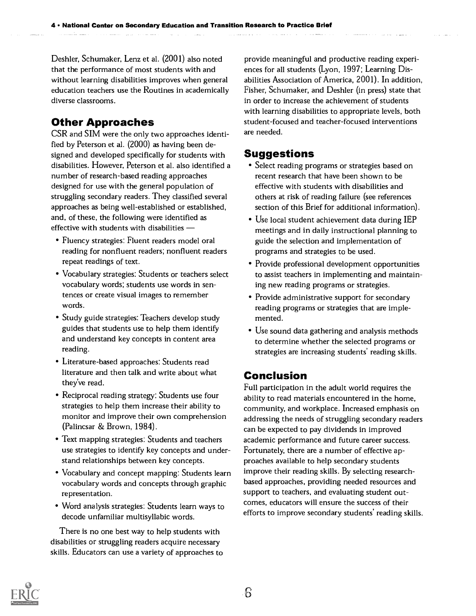Deshler, Schumaker, Lenz et al. (2001) also noted that the performance of most students with and

without learning disabilities improves when general education teachers use the Routines in academically diverse classrooms.

#### Other Approaches

CSR and SIM were the only two approaches identified by Peterson et al. (2000) as having been designed and developed specifically for students with disabilities. However, Peterson et al. also identified a number of research-based reading approaches designed for use with the general population of struggling secondary readers. They classified several approaches as being well-established or established, and, of these, the following were identified as effective with students with disabilities

- Fluency strategies: Fluent readers model oral reading for nonfluent readers; nonfluent readers repeat readings of text.
- Vocabulary strategies: Students or teachers select vocabulary words; students use words in sentences or create visual images to remember words.
- Study guide strategies: Teachers develop study guides that students use to help them identify and understand key concepts in content area reading.
- Literature-based approaches: Students read literature and then talk and write about what they've read.
- Reciprocal reading strategy: Students use four strategies to help them increase their ability to monitor and improve their own comprehension (Palincsar & Brown, 1984).
- Text mapping strategies: Students and teachers use strategies to identify key concepts and understand relationships between key concepts.
- Vocabulary and concept mapping: Students learn vocabulary words and concepts through graphic representation.
- Word analysis strategies: Students learn ways to decode unfamiliar multisyllabic words.

There is no one best way to help students with disabilities or struggling readers acquire necessary skills. Educators can use a variety of approaches to

provide meaningful and productive reading experiences for all students (Lyon, 1997; Learning Disabilities Association of America, 2001). In addition, Fisher, Schumaker, and Deshler (in press) state that in order to increase the achievement of students with learning disabilities to appropriate levels, both student-focused and teacher-focused interventions are needed.

#### Suggestions

- Select reading programs or strategies based on recent research that have been shown to be effective with students with disabilities and others at risk of reading failure (see references section of this Brief for additional information).
- Use local student achievement data during IEP meetings and in daily instructional planning to guide the selection and implementation of programs and strategies to be used.
- Provide professional development opportunities to assist teachers in implementing and maintaining new reading programs or strategies.
- Provide administrative support for secondary reading programs or strategies that are implemented.
- Use sound data gathering and analysis methods to determine whether the selected programs or strategies are increasing students' reading skills.

#### Conclusion

Full participation in the adult world requires the ability to read materials encountered in the home, community, and workplace. Increased emphasis on addressing the needs of struggling secondary readers can be expected to pay dividends in improved academic performance and future career success. Fortunately, there are a number of effective approaches available to help secondary students improve their reading skills. By selecting researchbased approaches, providing needed resources and support to teachers, and evaluating student outcomes, educators will ensure the success of their efforts to improve secondary students' reading skills.

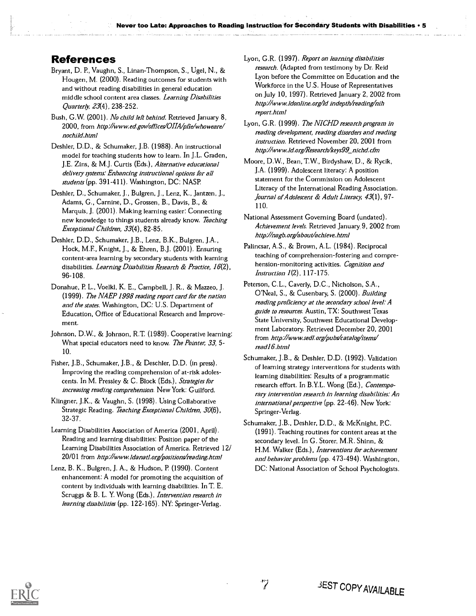#### References

- Bryant, D. P., Vaughn, S., Linan-Thompson, S., Ugel, N., & Hougen, M. (2000). Reading outcomes for students with and without reading disabilities in general education middle school content area classes. Learning Disabilities Quarterly, 23(4), 238-252.
- Bush, G.W. (2001). No child left behind. Retrieved January 8, 2000, from http://www.ed.gov/offices/OHA/pfie/whoweare/ nochild.html
- Deshler, D.D., & Schumaker, J.B. (1988). An instructional model for teaching students how to learn. In J.L. Graden, J.E. Zins, & M.J. Curtis (Eds.), Alternative educational delivery systems: Enhancing instructional options for all students (pp. 391-411). Washington, DC: NASP.
- Deshler, D., Schumaker, J., Bulgren, J., Lenz, K., Jantzen, J., Adams, G., Carnine, D., Grossen, B., Davis, B., & Marquis, J. (2001). Making learning easier: Connecting new knowledge to things students already know. Teaching Exceptional Children, 33(4), 82-85.
- Deshler, D.D., Schumaker, J.B., Lenz, B.K., Bulgren, J.A., Hock, M.E, Knight, J., & Ehren, B.J. (2001). Ensuring content-area learning by secondary students with learning disabilities. Learning Disabilities Research & Practice, 16(2), 96-108.
- Donahue, P. L., Voelkl, K. E., Campbell, J. R., & Mazzeo, J. (1999). The NAEP 1998 reading report card for the nation and the states. Washington, DC: U.S. Department of Education, Office of Educational Research and Improvement.
- Johnson, D.W., & Johnson, R.T. (1989). Cooperative learning: What special educators need to know. The Pointer, 33, 5-10.
- Fisher, J.B., Schumaker, J.B., & Deschler, D.D. (in press). Improving the reading comprehension of at-risk adolescents. In M. Pressley & C. Block (Eds.), Strategies for increasing reading comprehension. New York: Guilford.
- Klingner, J.K., & Vaughn, S. (1998). Using Collaborative Strategic Reading. Teaching Exceptional Children, 30(6), 32-37.
- Learning Disabilities Association of America (2001, April). Reading and learning disabilities: Position paper of the Learning Disabilities Association of America. Retrieved 12/ 20/01 from http://www.Idanatl.org/positions/reading.html
- Lenz, B. K., Bulgren, J. A., & Hudson, P. (1990). Content enhancement: A model for promoting the acquisition of content by individuals with learning disabilities. In T. E. Scruggs & B. L. Y. Wong (Eds.), *Intervention research in* learning disabilities (pp. 122-165). NY: Springer-Verlag.
- Lyon, G.R. (1997). Report on learning disabilities research. (Adapted from testimony by Dr. Reid Lyon before the Committee on Education and the Workforce in the U.S. House of Representatives on July 10, 1997). Retrieved January 2, 2002 from http://www.Idonline.org/ld indepth/reading/nih report.html
- Lyon, G.R. (1999). The NICHD research program in reading development, reading disorders and reading instruction. Retrieved November 20, 2001 from http://www.ld.org/Research/keys99 nichd.cfm
- Moore, D.W., Bean, T.W., Birdyshaw, D., & Rycik, J.A. (1999). Adolescent literacy: A position statement for the Commission on Adolescent Literacy of the International Reading Association. Journal of Adolescent & Adult Literacy, 43(1), 97-110.
- National Assessment Governing Board (undated). Achievement levels. Retrieved January 9, 2002 from http://nagb.org/about/achieve.html
- Palincsar, A.S., & Brown, A.L. (1984). Reciprocal teaching of comprehension-fostering and comprehension-monitoring activities. Cognition and Instruction 1(2), 117-175.
- Peterson, C.L., Caverly, D.C., Nicholson, S.A., O'Neal, S., & Cusenbary, S. (2000). Building reading proficiency at the secondary school level: A guide to resources. Austin, TX: Southwest Texas State University, Southwest Educational Development Laboratory. Retrieved December 20, 2001 from http://www.sedl.org/pubs/catalog/items/ read 16.html
- Schumaker, J.B., & Deshler, D.D. (1992). Validation of learning strategy interventions for students with learning disabilities: Results of a programmatic research effort. In B.Y.L. Wong (Ed.), Contemporary intervention research in learning disabilities: An international perspective (pp. 22-46). New York: Springer-Verlag.
- Schumaker, J.B., Deshler, D.D., & McKnight, P.C. (1991). Teaching routines for content areas at the secondary level. In G. Storer, M.R. Shinn, & H.M. Walker (Eds.), Interventions for achievement and behavior problems (pp. 473-494). Washington, DC: National Association of School Psychologists.

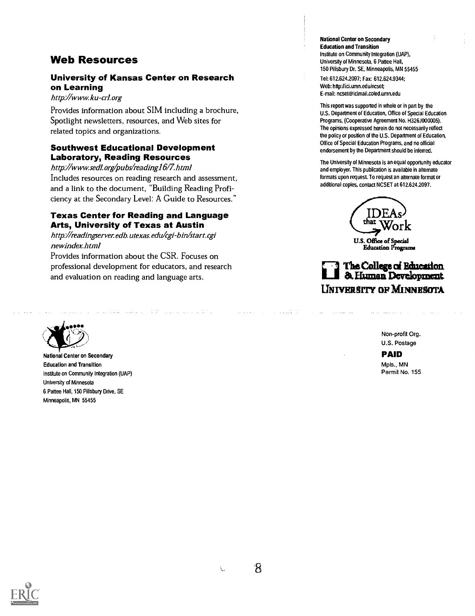#### Web Resources

#### University of Kansas Center on Research on Learning

#### http://www.ku-crlorg

Provides information about SIM including a brochure, Spotlight newsletters, resources, and Web sites for related topics and organizations.

#### Southwest Educational Development Laboratory, Reading Resources

http://www.sedl.org/pubs/reading16/7.html Includes resources on reading research and assessment, and a link to the document, "Building Reading Proficiency at the Secondary Level: A Guide to Resources."

#### Texas Center for Reading and Language Arts, University of Texas at Austin

http://readingserver.edb.utexas.edu/cgi-bin/start.cgi newindex.html

Provides information about the CSR. Focuses on professional development for educators, and research and evaluation on reading and language arts.

المواد المتحدة المواد المواد المواد المواد المواد المواد المواد المواد المواد المواد المواد المواد المواد المو



National Center on Secondary Education and Transition Institute on Community Integration (UAP) University of Minnesota 6 Pattee Hall, 150 Pillsbury Drive, SE Minneapolis, MN 55455

National Center on Secondary Education and Transition Institute on Community Integration (UAP), University of Minnesota, 6 Pattee Hall, 150 Pillsbury Dr. SE, Minneapolis, MN 55455

Tel: 612.624.2097; Fax: 612.624.9344; Web: http://ici.umn.edu/ncset; E-mail: ncset@icimail.coled.umn.edu

This report was supported in whole or in pan by the U.S. Department of Education, Office of Special Education Programs, (Cooperative Agreement No. H326J000005). The opinions expressed herein do not necessarily reflect the policy or position of the U.S. Department of Education, Office of Special Education Programs, and no official endorsement by the Department should be inferred.

The University of Minnesota is an equal opportunity educator and employer. This publication is available in alternate formats upon request. To request an alternate format or additional copies, contact NCSET at 612.624.2097.

U.S. Office of Special Education Programa

#### The College of Education. 8r. Humes Development UNIVERSITY OF MINNESOTA

Non-profit Org. U.S. Postage

PAID Mpls., MN Permit No. 155



ŧ.

 $\mathcal{R}$ 

المتعاطي والمتابعة

المستحد